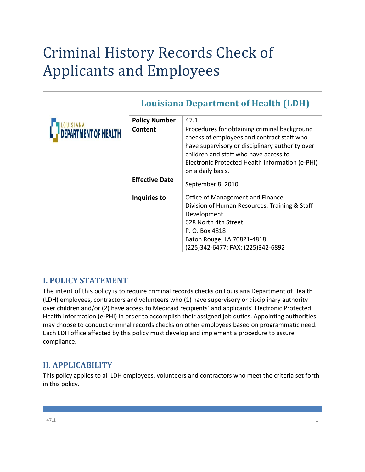# Criminal History Records Check of Applicants and Employees

|                             | <b>Louisiana Department of Health (LDH)</b> |                                                                                                                                                                                                                                                                |  |
|-----------------------------|---------------------------------------------|----------------------------------------------------------------------------------------------------------------------------------------------------------------------------------------------------------------------------------------------------------------|--|
| <b>DEPARTMENT OF HEALTH</b> | <b>Policy Number</b>                        | 47.1                                                                                                                                                                                                                                                           |  |
|                             | Content                                     | Procedures for obtaining criminal background<br>checks of employees and contract staff who<br>have supervisory or disciplinary authority over<br>children and staff who have access to<br>Electronic Protected Health Information (e-PHI)<br>on a daily basis. |  |
|                             | <b>Effective Date</b>                       | September 8, 2010                                                                                                                                                                                                                                              |  |
|                             | Inquiries to                                | Office of Management and Finance<br>Division of Human Resources, Training & Staff<br>Development<br>628 North 4th Street<br>P. O. Box 4818<br>Baton Rouge, LA 70821-4818<br>(225)342-6477; FAX: (225)342-6892                                                  |  |

## **I. POLICY STATEMENT**

The intent of this policy is to require criminal records checks on Louisiana Department of Health (LDH) employees, contractors and volunteers who (1) have supervisory or disciplinary authority over children and/or (2) have access to Medicaid recipients' and applicants' Electronic Protected Health Information (e-PHI) in order to accomplish their assigned job duties. Appointing authorities may choose to conduct criminal records checks on other employees based on programmatic need. Each LDH office affected by this policy must develop and implement a procedure to assure compliance.

## **II. APPLICABILITY**

This policy applies to all LDH employees, volunteers and contractors who meet the criteria set forth in this policy.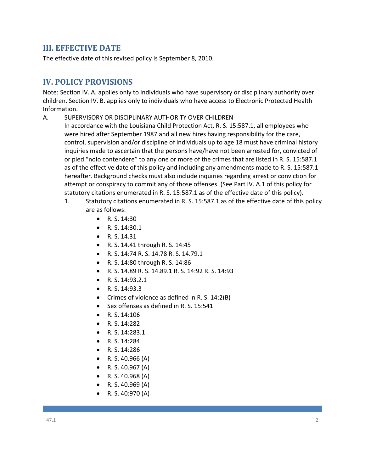#### **III. EFFECTIVE DATE**

The effective date of this revised policy is September 8, 2010.

### **IV. POLICY PROVISIONS**

Note: Section IV. A. applies only to individuals who have supervisory or disciplinary authority over children. Section IV. B. applies only to individuals who have access to Electronic Protected Health Information.

A. SUPERVISORY OR DISCIPLINARY AUTHORITY OVER CHILDREN

In accordance with the Louisiana Child Protection Act, R. S. 15:587.1, all employees who were hired after September 1987 and all new hires having responsibility for the care, control, supervision and/or discipline of individuals up to age 18 must have criminal history inquiries made to ascertain that the persons have/have not been arrested for, convicted of or pled "nolo contendere" to any one or more of the crimes that are listed in R. S. 15:587.1 as of the effective date of this policy and including any amendments made to R. S. 15:587.1 hereafter. Background checks must also include inquiries regarding arrest or conviction for attempt or conspiracy to commit any of those offenses. (See Part IV. A.1 of this policy for statutory citations enumerated in R. S. 15:587.1 as of the effective date of this policy).

- 1. Statutory citations enumerated in R. S. 15:587.1 as of the effective date of this policy are as follows:
	- R. S.  $14:30$
	- R. S.  $14:30.1$
	- R. S.  $14.31$
	- R. S. 14.41 through R. S. 14:45
	- R. S. 14:74 R. S. 14.78 R. S. 14.79.1
	- R. S. 14:80 through R. S. 14:86
	- R. S. 14.89 R. S. 14.89.1 R. S. 14:92 R. S. 14:93
	- $\bullet$  R. S. 14:93.2.1
	- R. S.  $14:93.3$
	- Crimes of violence as defined in R. S. 14:2(B)
	- Sex offenses as defined in R. S. 15:541
	- R. S. 14:106
	- R. S.  $14:282$
	- R. S.  $14:283.1$
	- R. S. 14:284
	- R. S. 14:286
	- R. S. 40.966 (A)
	- R. S. 40.967 $(A)$
	- R. S. 40.968 (A)
	- R. S.  $40.969$  (A)
	- R. S. 40:970 $(A)$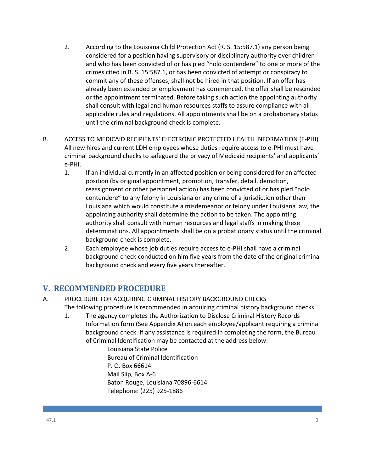- 2. According to the Louisiana Child Protection Act (R. S. 15:587.1) any person being considered for a position having supervisory or disciplinary authority over children and who has been convicted of or has pled "nolo contendere" to one or more of the crimes cited in R. S. 15:587.1, or has been convicted of attempt or conspiracy to commit any of these offenses, shall not be hired in that position. If an offer has already been extended or employment has commenced, the offer shall be rescinded or the appointment terminated. Before taking such action the appointing authority shall consult with legal and human resources staffs to assure compliance with all applicable rules and regulations. All appointments shall be on a probationary status until the criminal background check is complete.
- B. ACCESS TO MEDICAID RECIPIENTS' ELECTRONIC PROTECTED HEALTH INFORMATION (E-PHI) All new hires and current LDH employees whose duties require access to e-PHI must have criminal background checks to safeguard the privacy of Medicaid recipients' and applicants' e-PHI.
	- 1. If an individual currently in an affected position or being considered for an affected position (by original appointment, promotion, transfer, detail, demotion, reassignment or other personnel action) has been convicted of or has pled "nolo contendere" to any felony in Louisiana or any crime of a jurisdiction other than Louisiana which would constitute a misdemeanor or felony under Louisiana law, the appointing authority shall determine the action to be taken. The appointing authority shall consult with human resources and legal staffs in making these determinations. All appointments shall be on a probationary status until the criminal background check is complete.
	- 2. Each employee whose job duties require access to e-PHI shall have a criminal background check conducted on him five years from the date of the original criminal background check and every five years thereafter.

#### **V. RECOMMENDED PROCEDURE**

- A. PROCEDURE FOR ACQUIRING CRIMINAL HISTORY BACKGROUND CHECKS The following procedure is recommended in acquiring criminal history background checks:
	- 1. The agency completes the Authorization to Disclose Criminal History Records Information form (See Appendix A) on each employee/applicant requiring a criminal background check. If any assistance is required in completing the form, the Bureau of Criminal Identification may be contacted at the address below:

Louisiana State Police Bureau of Criminal Identification P. O. Box 66614 Mail Slip, Box A-6 Baton Rouge, Louisiana 70896-6614 Telephone: (225) 925-1886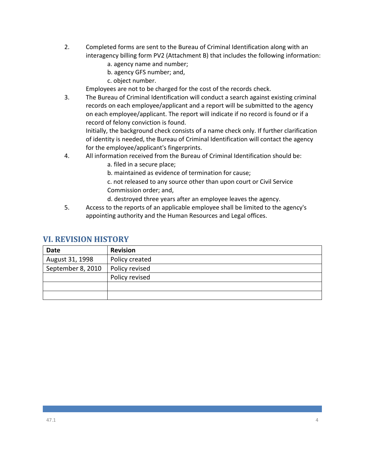- 2. Completed forms are sent to the Bureau of Criminal Identification along with an interagency billing form PV2 (Attachment B) that includes the following information:
	- a. agency name and number;
	- b. agency GFS number; and,
	- c. object number.

Employees are not to be charged for the cost of the records check.

3. The Bureau of Criminal Identification will conduct a search against existing criminal records on each employee/applicant and a report will be submitted to the agency on each employee/applicant. The report will indicate if no record is found or if a record of felony conviction is found.

Initially, the background check consists of a name check only. If further clarification of identity is needed, the Bureau of Criminal Identification will contact the agency for the employee/applicant's fingerprints.

- 4. All information received from the Bureau of Criminal Identification should be:
	- a. filed in a secure place;
	- b. maintained as evidence of termination for cause;
	- c. not released to any source other than upon court or Civil Service Commission order; and,
	- d. destroyed three years after an employee leaves the agency.
- 5. Access to the reports of an applicable employee shall be limited to the agency's appointing authority and the Human Resources and Legal offices.

#### **VI. REVISION HISTORY**

| <b>Date</b>       | <b>Revision</b> |
|-------------------|-----------------|
| August 31, 1998   | Policy created  |
| September 8, 2010 | Policy revised  |
|                   | Policy revised  |
|                   |                 |
|                   |                 |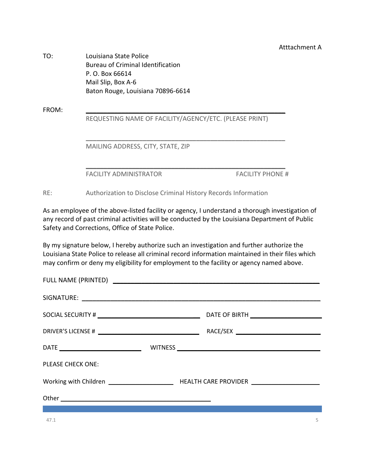#### Atttachment A

TO: Louisiana State Police Bureau of Criminal Identification P. O. Box 66614 Mail Slip, Box A-6 Baton Rouge, Louisiana 70896-6614

FROM: **\_\_\_\_\_\_\_\_\_\_\_\_\_\_\_\_\_\_\_\_\_\_\_\_\_\_\_\_\_\_\_\_\_\_\_\_\_\_\_\_\_\_\_\_\_\_\_\_\_\_\_\_\_\_\_\_**

REQUESTING NAME OF FACILITY/AGENCY/ETC. (PLEASE PRINT)

**\_\_\_\_\_\_\_\_\_\_\_\_\_\_\_\_\_\_\_\_\_\_\_\_\_\_\_\_\_\_\_\_\_\_\_\_\_\_\_\_\_\_\_\_\_\_\_\_\_\_\_\_\_\_\_\_**

**\_\_\_\_\_\_\_\_\_\_\_\_\_\_\_\_\_\_\_\_\_\_\_\_\_\_\_\_\_\_\_\_\_\_\_\_\_\_\_\_\_\_\_\_\_\_\_\_\_\_\_\_\_\_\_\_**

MAILING ADDRESS, CITY, STATE, ZIP

FACILITY ADMINISTRATOR FACILITY PHONE #

RE: Authorization to Disclose Criminal History Records Information

As an employee of the above-listed facility or agency, I understand a thorough investigation of any record of past criminal activities will be conducted by the Louisiana Department of Public Safety and Corrections, Office of State Police.

By my signature below, I hereby authorize such an investigation and further authorize the Louisiana State Police to release all criminal record information maintained in their files which may confirm or deny my eligibility for employment to the facility or agency named above.

| DATE PARTICULAR CONTROL DATE |  |
|------------------------------|--|
| PLEASE CHECK ONE:            |  |
|                              |  |
|                              |  |
|                              |  |

 $47.1$  5